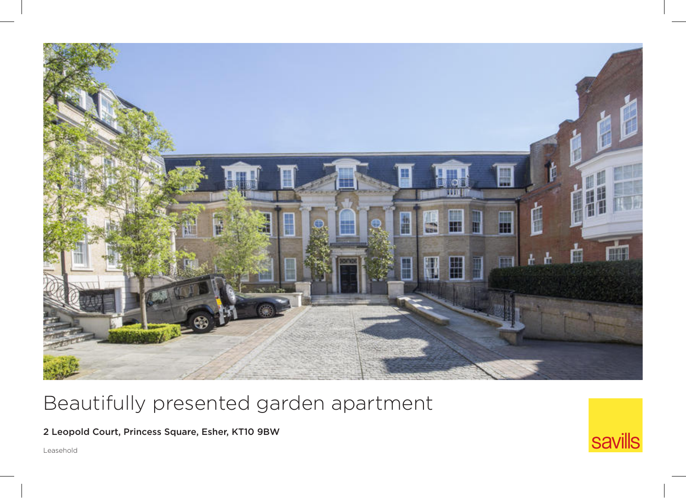

# Beautifully presented garden apartment

2 Leopold Court, Princess Square, Esher, KT10 9BW

Leasehold

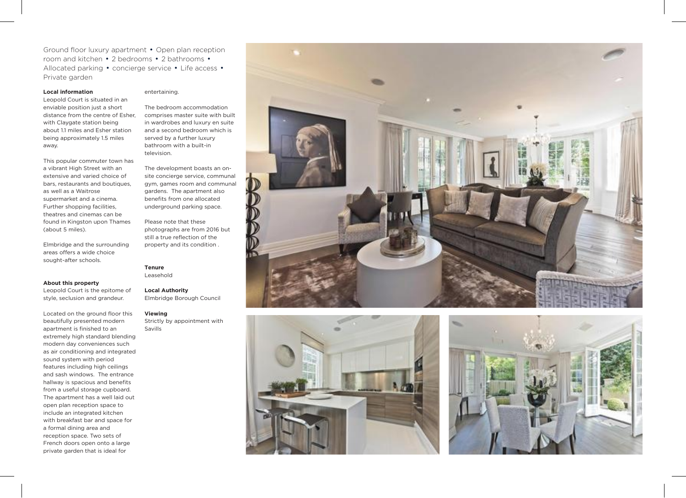Ground floor luxury apartment • Open plan reception room and kitchen • 2 bedrooms • 2 bathrooms • Allocated parking • concierge service • Life access • Private garden

### **Local information**

Leopold Court is situated in an enviable position just a short distance from the centre of Esher, with Claygate station being about 1.1 miles and Esher station being approximately 1.5 miles away.

This popular commuter town has a vibrant High Street with an extensive and varied choice of bars, restaurants and boutiques, as well as a Waitrose supermarket and a cinema. Further shopping facilities, theatres and cinemas can be found in Kingston upon Thames (about 5 miles).

Elmbridge and the surrounding areas offers a wide choice sought-after schools.

## **About this property**

Leopold Court is the epitome of style, seclusion and grandeur.

Located on the ground floor this beautifully presented modern apartment is finished to an extremely high standard blending modern day conveniences such as air conditioning and integrated sound system with period features including high ceilings and sash windows. The entrance hallway is spacious and benefits from a useful storage cupboard. The apartment has a well laid out open plan reception space to include an integrated kitchen with breakfast bar and space for a formal dining area and reception space. Two sets of French doors open onto a large private garden that is ideal for

#### entertaining.

The bedroom accommodation comprises master suite with built in wardrobes and luxury en suite and a second bedroom which is served by a further luxury bathroom with a built-in television.

The development boasts an onsite concierge service, communal gym, games room and communal gardens. The apartment also benefits from one allocated underground parking space.

Please note that these photographs are from 2016 but still a true reflection of the property and its condition .

#### **Tenure** Leasehold

**Local Authority** Elmbridge Borough Council

#### **Viewing**

Strictly by appointment with Savills





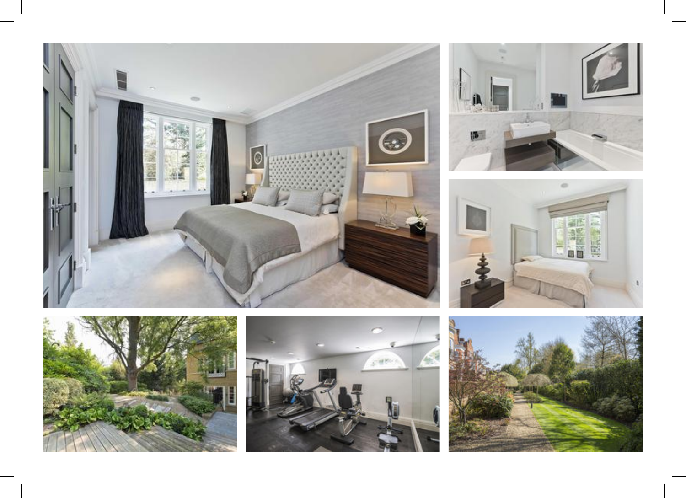